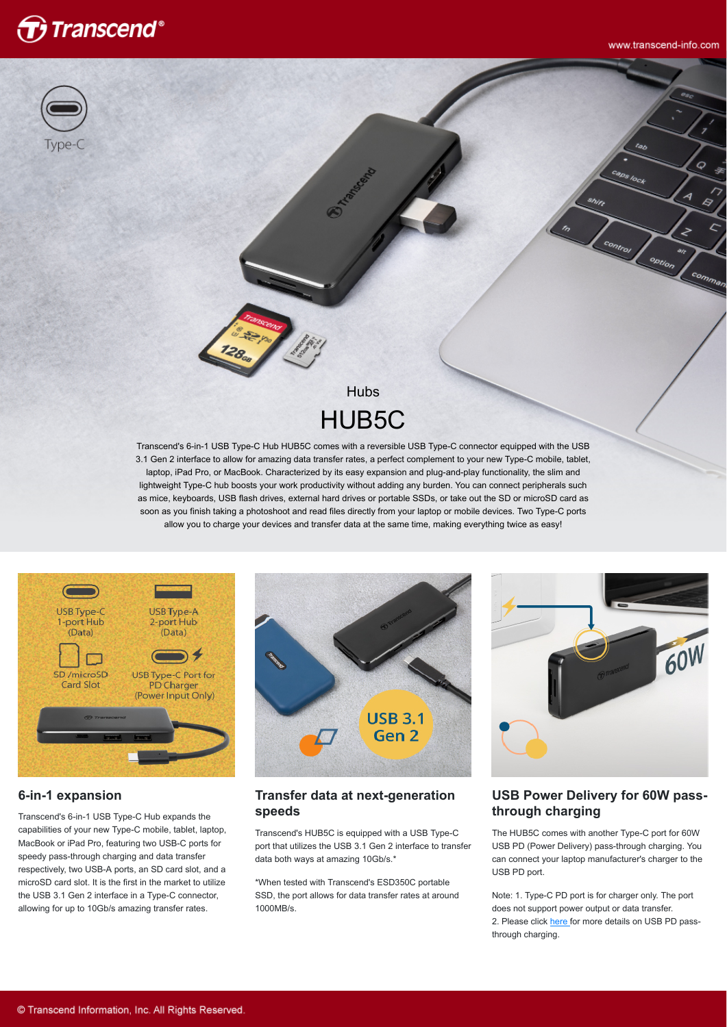

in.

option

comman



# **Hubs** HUB5C

Transcend's 6-in-1 USB Type-C Hub HUB5C comes with a reversible USB Type-C connector equipped with the USB 3.1 Gen 2 interface to allow for amazing data transfer rates, a perfect complement to your new Type-C mobile, tablet, laptop, iPad Pro, or MacBook. Characterized by its easy expansion and plug-and-play functionality, the slim and lightweight Type-C hub boosts your work productivity without adding any burden. You can connect peripherals such as mice, keyboards, USB flash drives, external hard drives or portable SSDs, or take out the SD or microSD card as soon as you finish taking a photoshoot and read files directly from your laptop or mobile devices. Two Type-C ports allow you to charge your devices and transfer data at the same time, making everything twice as easy!



#### **6-in-1 expansion**

Transcend's 6-in-1 USB Type-C Hub expands the capabilities of your new Type-C mobile, tablet, laptop, MacBook or iPad Pro, featuring two USB-C ports for speedy pass-through charging and data transfer respectively, two USB-A ports, an SD card slot, and a microSD card slot. It is the first in the market to utilize the USB 3.1 Gen 2 interface in a Type-C connector, allowing for up to 10Gb/s amazing transfer rates.



#### **Transfer data at next-generation speeds**

Transcend's HUB5C is equipped with a USB Type-C port that utilizes the USB 3.1 Gen 2 interface to transfer data both ways at amazing 10Gb/s.\*

\*When tested with Transcend's ESD350C portable SSD, the port allows for data transfer rates at around 1000MB/s.



#### **USB Power Delivery for 60W passthrough charging**

The HUB5C comes with another Type-C port for 60W USB PD (Power Delivery) pass-through charging. You can connect your laptop manufacturer's charger to the USB PD port.

Note: 1. Type-C PD port is for charger only. The port does not support power output or data transfer. 2. Please click [here f](http://twms.transcend-info.com/Support/FAQ-1280)or more details on USB PD passthrough charging.